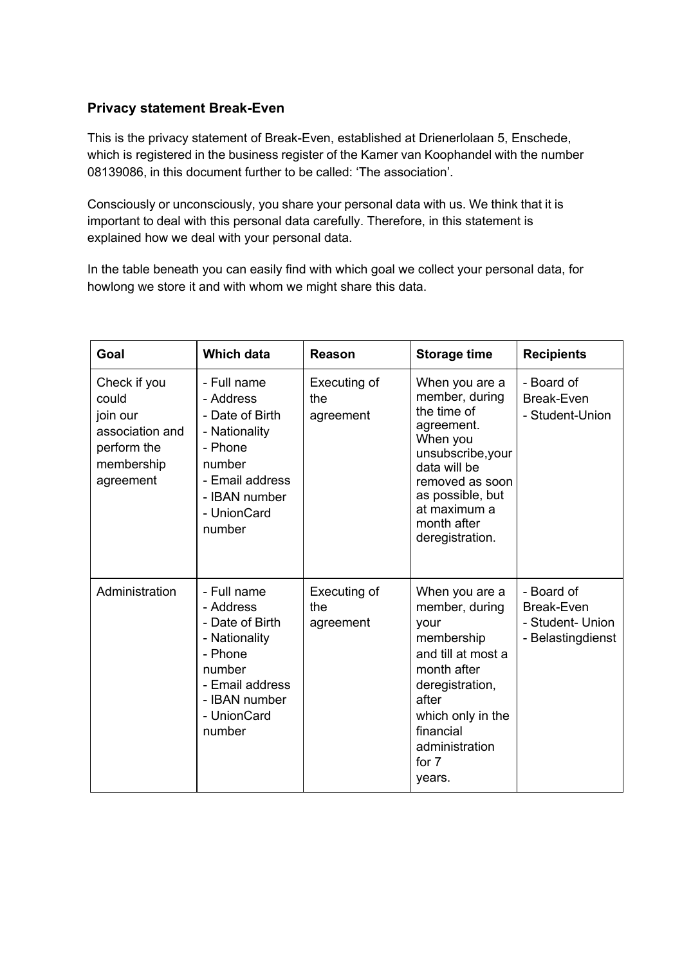# **Privacy statement Break-Even**

This is the privacy statement of Break-Even, established at Drienerlolaan 5, Enschede, which is registered in the business register of the Kamer van Koophandel with the number 08139086, in this document further to be called: 'The association'.

Consciously or unconsciously, you share your personal data with us. We think that it is important to deal with this personal data carefully. Therefore, in this statement is explained how we deal with your personal data.

In the table beneath you can easily find with which goal we collect your personal data, for howlong we store it and with whom we might share this data.

| Goal                                                                                           | <b>Which data</b>                                                                                                                              | Reason                           | <b>Storage time</b>                                                                                                                                                                                     | <b>Recipients</b>                                                        |
|------------------------------------------------------------------------------------------------|------------------------------------------------------------------------------------------------------------------------------------------------|----------------------------------|---------------------------------------------------------------------------------------------------------------------------------------------------------------------------------------------------------|--------------------------------------------------------------------------|
| Check if you<br>could<br>join our<br>association and<br>perform the<br>membership<br>agreement | - Full name<br>- Address<br>- Date of Birth<br>- Nationality<br>- Phone<br>number<br>- Email address<br>- IBAN number<br>- UnionCard<br>number | Executing of<br>the<br>agreement | When you are a<br>member, during<br>the time of<br>agreement.<br>When you<br>unsubscribe, your<br>data will be<br>removed as soon<br>as possible, but<br>at maximum a<br>month after<br>deregistration. | - Board of<br><b>Break-Even</b><br>- Student-Union                       |
| Administration                                                                                 | - Full name<br>- Address<br>- Date of Birth<br>- Nationality<br>- Phone<br>number<br>- Email address<br>- IBAN number<br>- UnionCard<br>number | Executing of<br>the<br>agreement | When you are a<br>member, during<br>your<br>membership<br>and till at most a<br>month after<br>deregistration,<br>after<br>which only in the<br>financial<br>administration<br>for 7<br>years.          | - Board of<br><b>Break-Even</b><br>- Student- Union<br>- Belastingdienst |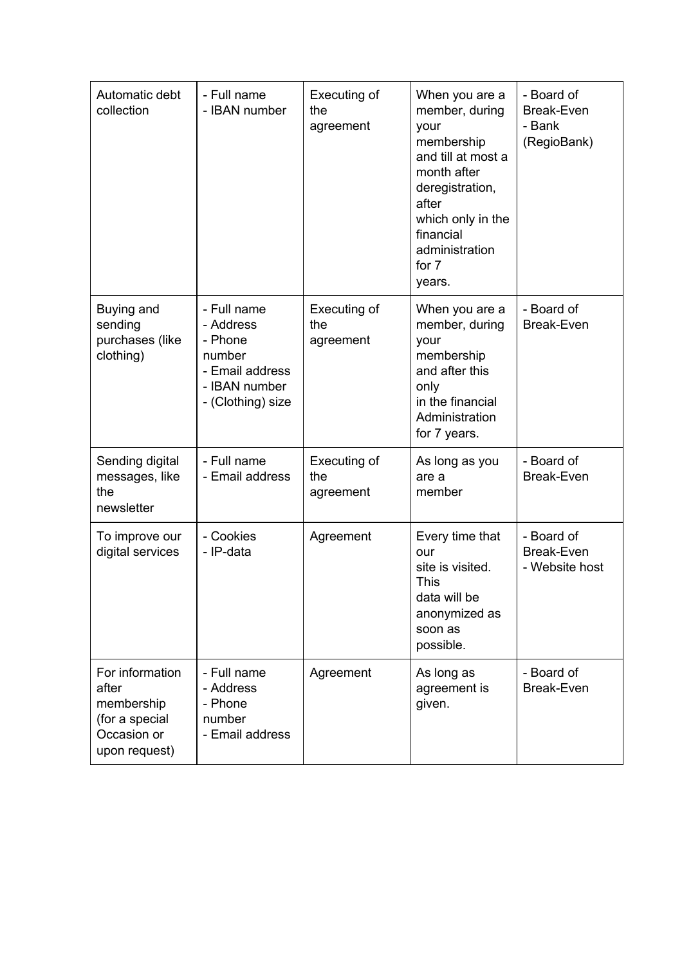| Automatic debt<br>collection                                                             | - Full name<br>- IBAN number                                                                           | Executing of<br>the<br>agreement | When you are a<br>member, during<br>your<br>membership<br>and till at most a<br>month after<br>deregistration,<br>after<br>which only in the<br>financial<br>administration<br>for 7<br>years. | - Board of<br><b>Break-Even</b><br>- Bank<br>(RegioBank) |
|------------------------------------------------------------------------------------------|--------------------------------------------------------------------------------------------------------|----------------------------------|------------------------------------------------------------------------------------------------------------------------------------------------------------------------------------------------|----------------------------------------------------------|
| Buying and<br>sending<br>purchases (like<br>clothing)                                    | - Full name<br>- Address<br>- Phone<br>number<br>- Email address<br>- IBAN number<br>- (Clothing) size | Executing of<br>the<br>agreement | When you are a<br>member, during<br>your<br>membership<br>and after this<br>only<br>in the financial<br>Administration<br>for 7 years.                                                         | - Board of<br><b>Break-Even</b>                          |
| Sending digital<br>messages, like<br>the<br>newsletter                                   | - Full name<br>- Email address                                                                         | Executing of<br>the<br>agreement | As long as you<br>are a<br>member                                                                                                                                                              | - Board of<br>Break-Even                                 |
| To improve our<br>digital services                                                       | - Cookies<br>- IP-data                                                                                 | Agreement                        | Every time that<br>our<br>site is visited.<br><b>This</b><br>data will be<br>anonymized as<br>soon as<br>possible.                                                                             | - Board of<br><b>Break-Even</b><br>- Website host        |
| For information<br>after<br>membership<br>(for a special<br>Occasion or<br>upon request) | - Full name<br>- Address<br>- Phone<br>number<br>- Email address                                       | Agreement                        | As long as<br>agreement is<br>given.                                                                                                                                                           | - Board of<br><b>Break-Even</b>                          |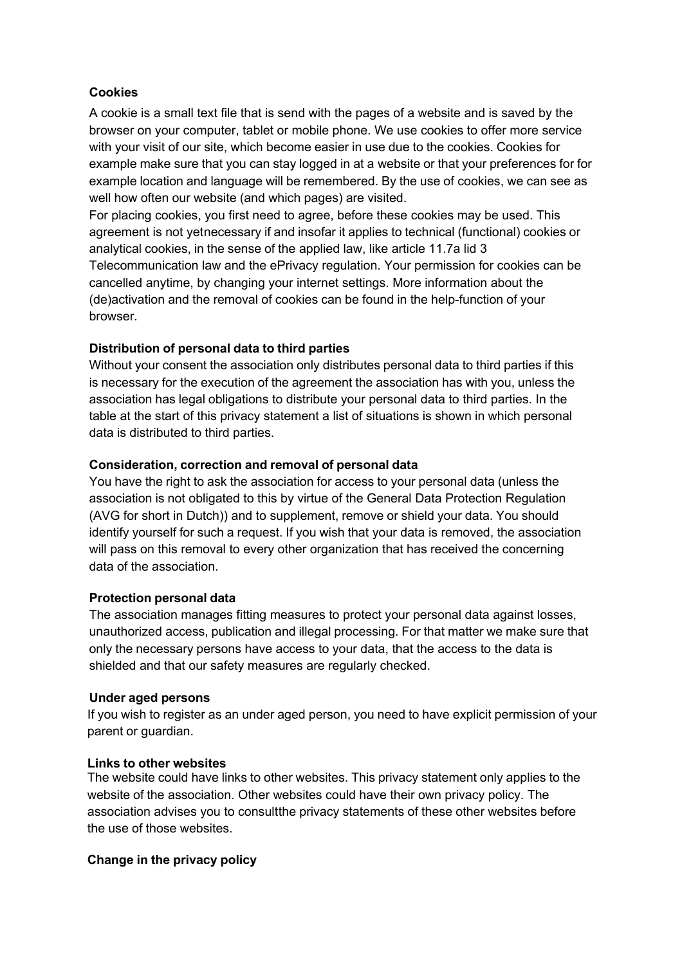### **Cookies**

A cookie is a small text file that is send with the pages of a website and is saved by the browser on your computer, tablet or mobile phone. We use cookies to offer more service with your visit of our site, which become easier in use due to the cookies. Cookies for example make sure that you can stay logged in at a website or that your preferences for for example location and language will be remembered. By the use of cookies, we can see as well how often our website (and which pages) are visited.

For placing cookies, you first need to agree, before these cookies may be used. This agreement is not yetnecessary if and insofar it applies to technical (functional) cookies or analytical cookies, in the sense of the applied law, like article 11.7a lid 3 Telecommunication law and the ePrivacy regulation. Your permission for cookies can be cancelled anytime, by changing your internet settings. More information about the (de)activation and the removal of cookies can be found in the help-function of your browser.

### **Distribution of personal data to third parties**

Without your consent the association only distributes personal data to third parties if this is necessary for the execution of the agreement the association has with you, unless the association has legal obligations to distribute your personal data to third parties. In the table at the start of this privacy statement a list of situations is shown in which personal data is distributed to third parties.

#### **Consideration, correction and removal of personal data**

You have the right to ask the association for access to your personal data (unless the association is not obligated to this by virtue of the General Data Protection Regulation (AVG for short in Dutch)) and to supplement, remove or shield your data. You should identify yourself for such a request. If you wish that your data is removed, the association will pass on this removal to every other organization that has received the concerning data of the association.

#### **Protection personal data**

The association manages fitting measures to protect your personal data against losses, unauthorized access, publication and illegal processing. For that matter we make sure that only the necessary persons have access to your data, that the access to the data is shielded and that our safety measures are regularly checked.

#### **Under aged persons**

If you wish to register as an under aged person, you need to have explicit permission of your parent or guardian.

#### **Links to other websites**

The website could have links to other websites. This privacy statement only applies to the website of the association. Other websites could have their own privacy policy. The association advises you to consultthe privacy statements of these other websites before the use of those websites.

#### **Change in the privacy policy**